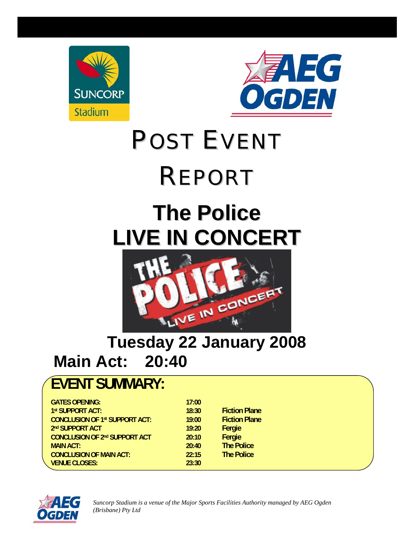



# POST EVENT

## REPORT

## **The Police LIVE IN CONCERT**



## **Tuesday 22 January 2008 Main Act: 20:40**

### **EVENT SUMMARY:**

| <b>GATES OPENING:</b>                 | 17:00 |                      |
|---------------------------------------|-------|----------------------|
| 1st SUPPORT ACT:                      | 18:30 | <b>Fiction Plane</b> |
| <b>CONCLUSION OF 1st SUPPORT ACT:</b> | 19:00 | <b>Fiction Plane</b> |
| 2nd SUPPORT ACT                       | 19:20 | Fergie               |
| <b>CONCLUSION OF 2nd SUPPORT ACT</b>  | 20:10 | Fergie               |
| <b>MAIN ACT:</b>                      | 20:40 | <b>The Police</b>    |
| <b>CONCLUSION OF MAIN ACT:</b>        | 22:15 | <b>The Police</b>    |
| <b>VENUE CLOSES:</b>                  | 23:30 |                      |



*Suncorp Stadium is a venue of the Major Sports Facilities Authority managed by AEG Ogden (Brisbane) Pty Ltd*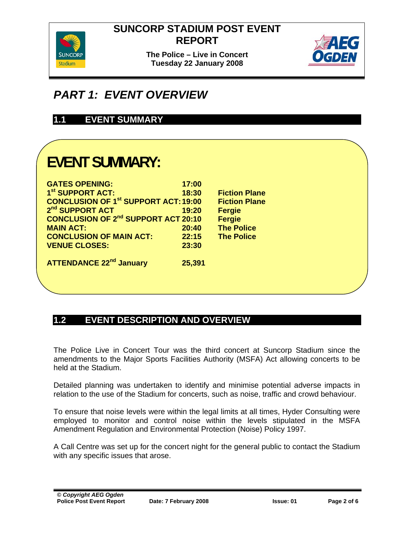

**The Police – Live in Concert Tuesday 22 January 2008** 



#### *PART 1: EVENT OVERVIEW*

#### **1.1 EVENT SUMMARY**

### **EVENT SUMMARY:**

| <b>GATES OPENING:</b>                       | 17:00  |                      |
|---------------------------------------------|--------|----------------------|
| 1 <sup>st</sup> SUPPORT ACT:                | 18:30  | <b>Fiction Plane</b> |
| <b>CONCLUSION OF 1st SUPPORT ACT: 19:00</b> |        | <b>Fiction Plane</b> |
| 2 <sup>nd</sup> SUPPORT ACT                 | 19:20  | <b>Fergie</b>        |
| <b>CONCLUSION OF 2nd SUPPORT ACT 20:10</b>  |        | <b>Fergie</b>        |
| <b>MAIN ACT:</b>                            | 20:40  | <b>The Police</b>    |
| <b>CONCLUSION OF MAIN ACT:</b>              | 22:15  | <b>The Police</b>    |
| <b>VENUE CLOSES:</b>                        | 23:30  |                      |
| <b>ATTENDANCE 22<sup>nd</sup> January</b>   | 25,391 |                      |

#### **1.2 EVENT DESCRIPTION AND OVERVIEW**

The Police Live in Concert Tour was the third concert at Suncorp Stadium since the amendments to the Major Sports Facilities Authority (MSFA) Act allowing concerts to be held at the Stadium.

Detailed planning was undertaken to identify and minimise potential adverse impacts in relation to the use of the Stadium for concerts, such as noise, traffic and crowd behaviour.

To ensure that noise levels were within the legal limits at all times, Hyder Consulting were employed to monitor and control noise within the levels stipulated in the MSFA Amendment Regulation and Environmental Protection (Noise) Policy 1997.

A Call Centre was set up for the concert night for the general public to contact the Stadium with any specific issues that arose.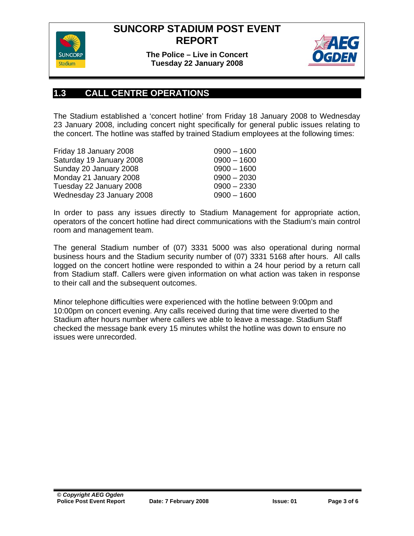

**The Police – Live in Concert Tuesday 22 January 2008** 



#### **1.3 CALL CENTRE OPERATIONS**

The Stadium established a 'concert hotline' from Friday 18 January 2008 to Wednesday 23 January 2008, including concert night specifically for general public issues relating to the concert. The hotline was staffed by trained Stadium employees at the following times:

| Friday 18 January 2008    | $0900 - 1600$ |
|---------------------------|---------------|
| Saturday 19 January 2008  | $0900 - 1600$ |
| Sunday 20 January 2008    | $0900 - 1600$ |
| Monday 21 January 2008    | $0900 - 2030$ |
| Tuesday 22 January 2008   | $0900 - 2330$ |
| Wednesday 23 January 2008 | $0900 - 1600$ |

In order to pass any issues directly to Stadium Management for appropriate action, operators of the concert hotline had direct communications with the Stadium's main control room and management team.

The general Stadium number of (07) 3331 5000 was also operational during normal business hours and the Stadium security number of (07) 3331 5168 after hours. All calls logged on the concert hotline were responded to within a 24 hour period by a return call from Stadium staff. Callers were given information on what action was taken in response to their call and the subsequent outcomes.

Minor telephone difficulties were experienced with the hotline between 9:00pm and 10:00pm on concert evening. Any calls received during that time were diverted to the Stadium after hours number where callers we able to leave a message. Stadium Staff checked the message bank every 15 minutes whilst the hotline was down to ensure no issues were unrecorded.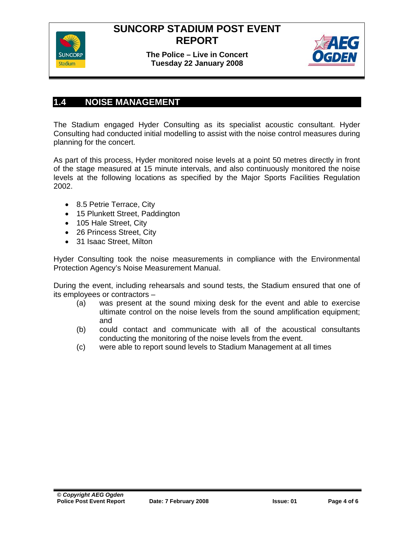

**The Police – Live in Concert Tuesday 22 January 2008** 



#### **1.4 NOISE MANAGEMENT**

The Stadium engaged Hyder Consulting as its specialist acoustic consultant. Hyder Consulting had conducted initial modelling to assist with the noise control measures during planning for the concert.

As part of this process, Hyder monitored noise levels at a point 50 metres directly in front of the stage measured at 15 minute intervals, and also continuously monitored the noise levels at the following locations as specified by the Major Sports Facilities Regulation 2002.

- 8.5 Petrie Terrace, City
- 15 Plunkett Street, Paddington
- 105 Hale Street, City
- 26 Princess Street, City
- 31 Isaac Street, Milton

Hyder Consulting took the noise measurements in compliance with the Environmental Protection Agency's Noise Measurement Manual.

During the event, including rehearsals and sound tests, the Stadium ensured that one of its employees or contractors –

- (a) was present at the sound mixing desk for the event and able to exercise ultimate control on the noise levels from the sound amplification equipment; and
- (b) could contact and communicate with all of the acoustical consultants conducting the monitoring of the noise levels from the event.
- (c) were able to report sound levels to Stadium Management at all times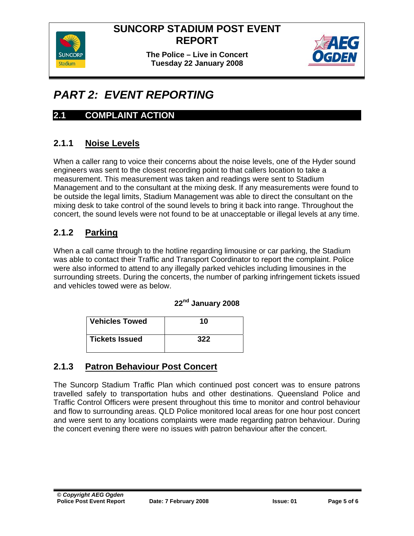**The Police – Live in Concert Tuesday 22 January 2008** 



#### *PART 2: EVENT REPORTING*

#### **2.1 COMPLAINT ACTION**

#### **2.1.1 Noise Levels**

When a caller rang to voice their concerns about the noise levels, one of the Hyder sound engineers was sent to the closest recording point to that callers location to take a measurement. This measurement was taken and readings were sent to Stadium Management and to the consultant at the mixing desk. If any measurements were found to be outside the legal limits, Stadium Management was able to direct the consultant on the mixing desk to take control of the sound levels to bring it back into range. Throughout the concert, the sound levels were not found to be at unacceptable or illegal levels at any time.

#### **2.1.2 Parking**

When a call came through to the hotline regarding limousine or car parking, the Stadium was able to contact their Traffic and Transport Coordinator to report the complaint. Police were also informed to attend to any illegally parked vehicles including limousines in the surrounding streets. During the concerts, the number of parking infringement tickets issued and vehicles towed were as below.

#### **22nd January 2008**

| <b>Vehicles Towed</b> | 10  |
|-----------------------|-----|
| <b>Tickets Issued</b> | 322 |

#### **2.1.3 Patron Behaviour Post Concert**

The Suncorp Stadium Traffic Plan which continued post concert was to ensure patrons travelled safely to transportation hubs and other destinations. Queensland Police and Traffic Control Officers were present throughout this time to monitor and control behaviour and flow to surrounding areas. QLD Police monitored local areas for one hour post concert and were sent to any locations complaints were made regarding patron behaviour. During the concert evening there were no issues with patron behaviour after the concert.